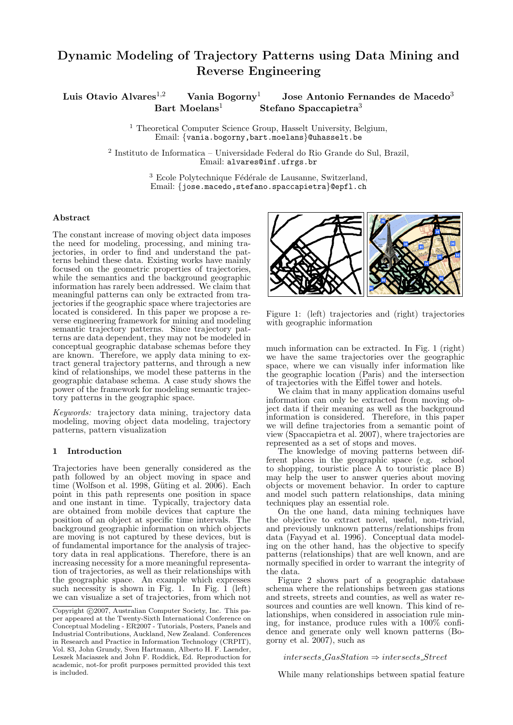# Dynamic Modeling of Trajectory Patterns using Data Mining and Reverse Engineering

Luis Otavio Alvares<sup>1,2</sup> Vania Bogorny<sup>1</sup> Jose Antonio Fernandes de Macedo<sup>3</sup> Bart Moelans<sup>1</sup> Stefano Spaccapietra<sup>3</sup>

> <sup>1</sup> Theoretical Computer Science Group, Hasselt University, Belgium, Email: {vania.bogorny,bart.moelans}@uhasselt.be

2 Instituto de Informatica – Universidade Federal do Rio Grande do Sul, Brazil, Email: alvares@inf.ufrgs.br

> $^3$  Ecole Polytechnique Fédérale de Lausanne, Switzerland, Email: {jose.macedo,stefano.spaccapietra}@epfl.ch

## Abstract

The constant increase of moving object data imposes the need for modeling, processing, and mining trajectories, in order to find and understand the patterns behind these data. Existing works have mainly focused on the geometric properties of trajectories, while the semantics and the background geographic information has rarely been addressed. We claim that meaningful patterns can only be extracted from trajectories if the geographic space where trajectories are located is considered. In this paper we propose a reverse engineering framework for mining and modeling semantic trajectory patterns. Since trajectory patterns are data dependent, they may not be modeled in conceptual geographic database schemas before they are known. Therefore, we apply data mining to extract general trajectory patterns, and through a new kind of relationships, we model these patterns in the geographic database schema. A case study shows the power of the framework for modeling semantic trajectory patterns in the geographic space.

Keywords: trajectory data mining, trajectory data modeling, moving object data modeling, trajectory patterns, pattern visualization

## 1 Introduction

Trajectories have been generally considered as the path followed by an object moving in space and time (Wolfson et al. 1998, Güting et al. 2006). Each point in this path represents one position in space and one instant in time. Typically, trajectory data are obtained from mobile devices that capture the position of an object at specific time intervals. The background geographic information on which objects are moving is not captured by these devices, but is of fundamental importance for the analysis of trajectory data in real applications. Therefore, there is an increasing necessity for a more meaningful representation of trajectories, as well as their relationships with the geographic space. An example which expresses such necessity is shown in Fig. 1. In Fig. 1 (left) we can visualize a set of trajectories, from which not



Figure 1: (left) trajectories and (right) trajectories with geographic information

much information can be extracted. In Fig. 1 (right) we have the same trajectories over the geographic space, where we can visually infer information like the geographic location (Paris) and the intersection of trajectories with the Eiffel tower and hotels.

We claim that in many application domains useful information can only be extracted from moving object data if their meaning as well as the background information is considered. Therefore, in this paper we will define trajectories from a semantic point of view (Spaccapietra et al. 2007), where trajectories are represented as a set of stops and moves.

The knowledge of moving patterns between different places in the geographic space (e.g. school to shopping, touristic place A to touristic place B) may help the user to answer queries about moving objects or movement behavior. In order to capture and model such pattern relationships, data mining techniques play an essential role.

On the one hand, data mining techniques have the objective to extract novel, useful, non-trivial, and previously unknown patterns/relationships from data (Fayyad et al. 1996). Conceptual data modeling on the other hand, has the objective to specify patterns (relationships) that are well known, and are normally specified in order to warrant the integrity of the data.

Figure 2 shows part of a geographic database schema where the relationships between gas stations and streets, streets and counties, as well as water resources and counties are well known. This kind of relationships, when considered in association rule mining, for instance, produce rules with a 100% confidence and generate only well known patterns (Bogorny et al. 2007), such as

 $intersects_GasStation \Rightarrow intersects\_Street$ 

While many relationships between spatial feature

Copyright ©2007, Australian Computer Society, Inc. This paper appeared at the Twenty-Sixth International Conference on Conceptual Modeling - ER2007 - Tutorials, Posters, Panels and Industrial Contributions, Auckland, New Zealand. Conferences in Research and Practice in Information Technology (CRPIT), Vol. 83, John Grundy, Sven Hartmann, Alberto H. F. Laender, Leszek Maciaszek and John F. Roddick, Ed. Reproduction for academic, not-for profit purposes permitted provided this text is included.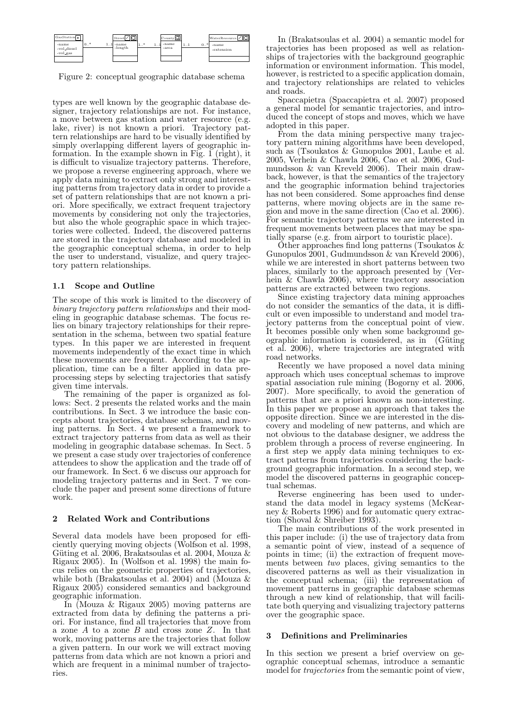

Figure 2: conceptual geographic database schema

types are well known by the geographic database designer, trajectory relationships are not. For instance, a move between gas station and water resource (e.g. lake, river) is not known a priori. Trajectory pattern relationships are hard to be visually identified by simply overlapping different layers of geographic information. In the example shown in Fig. 1 (right), it is difficult to visualize trajectory patterns. Therefore, we propose a reverse engineering approach, where we apply data mining to extract only strong and interesting patterns from trajectory data in order to provide a set of pattern relationships that are not known a priori. More specifically, we extract frequent trajectory movements by considering not only the trajectories, but also the whole geographic space in which trajectories were collected. Indeed, the discovered patterns are stored in the trajectory database and modeled in the geographic conceptual schema, in order to help the user to understand, visualize, and query trajectory pattern relationships.

# 1.1 Scope and Outline

The scope of this work is limited to the discovery of binary trajectory pattern relationships and their modeling in geographic database schemas. The focus relies on binary trajectory relationships for their representation in the schema, between two spatial feature types. In this paper we are interested in frequent movements independently of the exact time in which these movements are frequent. According to the application, time can be a filter applied in data preprocessing steps by selecting trajectories that satisfy given time intervals.

The remaining of the paper is organized as follows: Sect. 2 presents the related works and the main contributions. In Sect. 3 we introduce the basic concepts about trajectories, database schemas, and moving patterns. In Sect. 4 we present a framework to extract trajectory patterns from data as well as their modeling in geographic database schemas. In Sect. 5 we present a case study over trajectories of conference attendees to show the application and the trade off of our framework. In Sect. 6 we discuss our approach for modeling trajectory patterns and in Sect. 7 we conclude the paper and present some directions of future work.

# 2 Related Work and Contributions

Several data models have been proposed for efficiently querying moving objects (Wolfson et al. 1998, Güting et al. 2006, Brakatsoulas et al. 2004, Mouza  $\&$ Rigaux 2005). In (Wolfson et al. 1998) the main focus relies on the geometric properties of trajectories, while both (Brakatsoulas et al. 2004) and (Mouza  $\&$ Rigaux 2005) considered semantics and background geographic information.

In (Mouza & Rigaux 2005) moving patterns are extracted from data by defining the patterns a priori. For instance, find all trajectories that move from a zone  $A$  to a zone  $B$  and cross zone  $Z$ . In that work, moving patterns are the trajectories that follow a given pattern. In our work we will extract moving patterns from data which are not known a priori and which are frequent in a minimal number of trajectories.

In (Brakatsoulas et al. 2004) a semantic model for trajectories has been proposed as well as relationships of trajectories with the background geographic information or environment information. This model, however, is restricted to a specific application domain, and trajectory relationships are related to vehicles and roads.

Spaccapietra (Spaccapietra et al. 2007) proposed a general model for semantic trajectories, and introduced the concept of stops and moves, which we have adopted in this paper.

From the data mining perspective many trajectory pattern mining algorithms have been developed, such as (Tsoukatos & Gunopulos 2001, Laube et al. 2005, Verhein & Chawla 2006, Cao et al. 2006, Gudmundsson & van Kreveld 2006). Their main drawback, however, is that the semantics of the trajectory and the geographic information behind trajectories has not been considered. Some approaches find dense patterns, where moving objects are in the same region and move in the same direction (Cao et al. 2006). For semantic trajectory patterns we are interested in frequent movements between places that may be spatially sparse (e.g. from airport to touristic place).

Other approaches find long patterns (Tsoukatos & Gunopulos 2001, Gudmundsson & van Kreveld 2006), while we are interested in short patterns between two places, similarly to the approach presented by (Verhein & Chawla 2006), where trajectory association patterns are extracted between two regions.

Since existing trajectory data mining approaches do not consider the semantics of the data, it is difficult or even impossible to understand and model trajectory patterns from the conceptual point of view. It becomes possible only when some background geographic information is considered, as in  $(Güting)$ et al. 2006), where trajectories are integrated with road networks.

Recently we have proposed a novel data mining approach which uses conceptual schemas to improve spatial association rule mining (Bogorny et al. 2006, 2007). More specifically, to avoid the generation of patterns that are a priori known as non-interesting. In this paper we propose an approach that takes the opposite direction. Since we are interested in the discovery and modeling of new patterns, and which are not obvious to the database designer, we address the problem through a process of reverse engineering. In a first step we apply data mining techniques to extract patterns from trajectories considering the background geographic information. In a second step, we model the discovered patterns in geographic conceptual schemas.

Reverse engineering has been used to understand the data model in legacy systems (McKearney & Roberts 1996) and for automatic query extraction (Shoval & Shreiber 1993).

The main contributions of the work presented in this paper include: (i) the use of trajectory data from a semantic point of view, instead of a sequence of points in time; (ii) the extraction of frequent movements between two places, giving semantics to the discovered patterns as well as their visualization in the conceptual schema; (iii) the representation of movement patterns in geographic database schemas through a new kind of relationship, that will facilitate both querying and visualizing trajectory patterns over the geographic space.

# 3 Definitions and Preliminaries

In this section we present a brief overview on geographic conceptual schemas, introduce a semantic model for *trajectories* from the semantic point of view,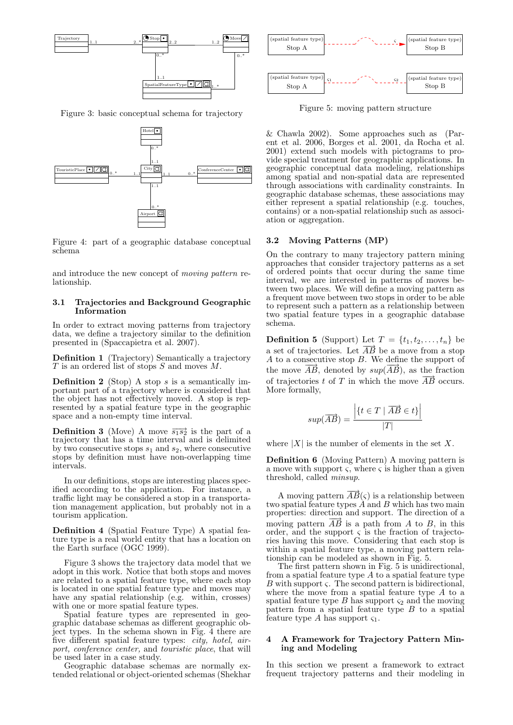

Figure 3: basic conceptual schema for trajectory



Figure 4: part of a geographic database conceptual schema

and introduce the new concept of moving pattern relationship.

#### 3.1 Trajectories and Background Geographic Information

In order to extract moving patterns from trajectory data, we define a trajectory similar to the definition presented in (Spaccapietra et al. 2007).

Definition 1 (Trajectory) Semantically a trajectory  $T$  is an ordered list of stops  $S$  and moves  $M$ .

**Definition 2** (Stop) A stop  $s$  is a semantically important part of a trajectory where is considered that the object has not effectively moved. A stop is represented by a spatial feature type in the geographic space and a non-empty time interval.

**Definition 3** (Move) A move  $\overrightarrow{s_1s_2}$  is the part of a trajectory that has a time interval and is delimited by two consecutive stops  $s_1$  and  $s_2$ , where consecutive stops by definition must have non-overlapping time intervals.

In our definitions, stops are interesting places specified according to the application. For instance, a traffic light may be considered a stop in a transportation management application, but probably not in a tourism application.

Definition 4 (Spatial Feature Type) A spatial feature type is a real world entity that has a location on the Earth surface (OGC 1999).

Figure 3 shows the trajectory data model that we adopt in this work. Notice that both stops and moves are related to a spatial feature type, where each stop is located in one spatial feature type and moves may have any spatial relationship (e.g. within, crosses) with one or more spatial feature types.

Spatial feature types are represented in geographic database schemas as different geographic object types. In the schema shown in Fig. 4 there are five different spatial feature types: city, hotel, airport, conference center, and touristic place, that will be used later in a case study.

Geographic database schemas are normally extended relational or object-oriented schemas (Shekhar



Figure 5: moving pattern structure

& Chawla 2002). Some approaches such as (Parent et al. 2006, Borges et al. 2001, da Rocha et al. 2001) extend such models with pictograms to provide special treatment for geographic applications. In geographic conceptual data modeling, relationships among spatial and non-spatial data are represented through associations with cardinality constraints. In geographic database schemas, these associations may either represent a spatial relationship (e.g. touches, contains) or a non-spatial relationship such as association or aggregation.

# 3.2 Moving Patterns (MP)

On the contrary to many trajectory pattern mining approaches that consider trajectory patterns as a set of ordered points that occur during the same time interval, we are interested in patterns of moves between two places. We will define a moving pattern as a frequent move between two stops in order to be able to represent such a pattern as a relationship between two spatial feature types in a geographic database schema.

**Definition 5** (Support) Let  $T = \{t_1, t_2, \ldots, t_n\}$  be a set of trajectories. Let  $\overrightarrow{AB}$  be a move from a stop A to a consecutive stop B. We define the support of the move  $\overrightarrow{AB}$ , denoted by  $sup(\overrightarrow{AB})$ , as the fraction of trajectories t of T in which the move  $\overrightarrow{AB}$  occurs. More formally,

$$
sup(\overrightarrow{AB}) = \frac{\left| \{ t \in T \mid \overrightarrow{AB} \in t \} \right|}{|T|}
$$

where  $|X|$  is the number of elements in the set X.

Definition 6 (Moving Pattern) A moving pattern is a move with support  $\zeta$ , where  $\zeta$  is higher than a given threshold, called minsup.

A moving pattern  $\overline{AB}(\varsigma)$  is a relationship between two spatial feature types  $\ddot{A}$  and  $B$  which has two main properties: direction and support. The direction of a moving pattern  $\overrightarrow{AB}$  is a path from A to B, in this order, and the support  $\varsigma$  is the fraction of trajectories having this move. Considering that each stop is within a spatial feature type, a moving pattern relationship can be modeled as shown in Fig. 5.

The first pattern shown in Fig. 5 is unidirectional, from a spatial feature type  $A$  to a spatial feature type  $B$  with support  $\varsigma$ . The second pattern is bidirectional, where the move from a spatial feature type  $A$  to a spatial feature type  $B$  has support  $\varsigma_2$  and the moving pattern from a spatial feature type  $B$  to a spatial feature type A has support  $\varsigma_1$ .

#### 4 A Framework for Trajectory Pattern Mining and Modeling

In this section we present a framework to extract frequent trajectory patterns and their modeling in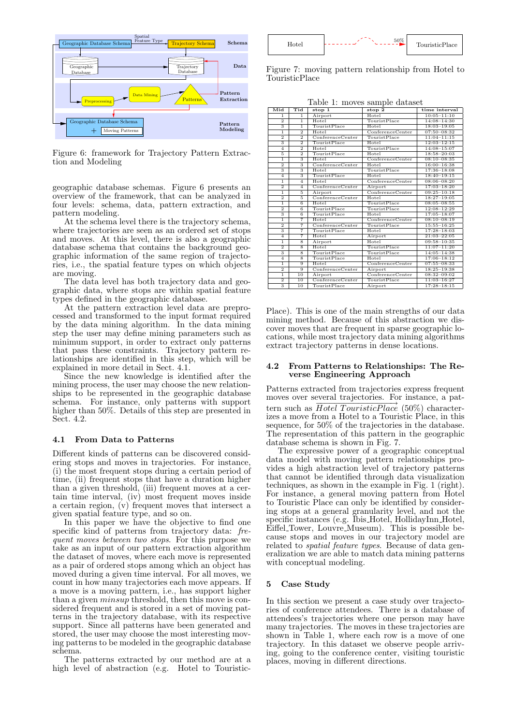

Figure 6: framework for Trajectory Pattern Extraction and Modeling

geographic database schemas. Figure 6 presents an overview of the framework, that can be analyzed in four levels: schema, data, pattern extraction, and pattern modeling.

At the schema level there is the trajectory schema, where trajectories are seen as an ordered set of stops and moves. At this level, there is also a geographic database schema that contains the background geographic information of the same region of trajectories, i.e., the spatial feature types on which objects are moving.

The data level has both trajectory data and geographic data, where stops are within spatial feature types defined in the geographic database.

At the pattern extraction level data are preprocessed and transformed to the input format required by the data mining algorithm. In the data mining step the user may define mining parameters such as minimum support, in order to extract only patterns that pass these constraints. Trajectory pattern relationships are identified in this step, which will be explained in more detail in Sect. 4.1.

Since the new knowledge is identified after the mining process, the user may choose the new relationships to be represented in the geographic database schema. For instance, only patterns with support higher than 50%. Details of this step are presented in Sect. 4.2.

# 4.1 From Data to Patterns

Different kinds of patterns can be discovered considering stops and moves in trajectories. For instance, (i) the most frequent stops during a certain period of time, (ii) frequent stops that have a duration higher than a given threshold, (iii) frequent moves at a certain time interval, (iv) most frequent moves inside a certain region,  $(v)$  frequent moves that intersect a given spatial feature type, and so on.

In this paper we have the objective to find one specific kind of patterns from trajectory data: frequent moves between two stops. For this purpose we take as an input of our pattern extraction algorithm the dataset of moves, where each move is represented as a pair of ordered stops among which an object has moved during a given time interval. For all moves, we count in how many trajectories each move appears. If a move is a moving pattern, i.e., has support higher than a given minsup threshold, then this move is considered frequent and is stored in a set of moving patterns in the trajectory database, with its respective support. Since all patterns have been generated and stored, the user may choose the most interesting moving patterns to be modeled in the geographic database schema.

The patterns extracted by our method are at a high level of abstraction (e.g. Hotel to Touristic-



Figure 7: moving pattern relationship from Hotel to TouristicPlace

Table 1: moves sample dataset

| Mid                       | Ti <sub>d</sub>           | stop 1           | stop 2           | time interval   |
|---------------------------|---------------------------|------------------|------------------|-----------------|
| $\overline{1}$            | $\overline{1}$            | Airport          | Hotel            | $10:05 - 11:10$ |
| $\overline{2}$            | $\overline{1}$            | Hotel            | TouristPlace     | $14:08 - 14:30$ |
| $\overline{\overline{3}}$ | $\overline{1}$            | TouristPlace     | Hotel            | $18:03 - 19:05$ |
| ī                         | $\overline{2}$            | Hotel            | ConferenceCenter | $07:50 - 08:32$ |
| $\overline{2}$            | $\overline{2}$            | ConferenceCenter | TouristPlace     | $11:04 - 11:15$ |
| $\overline{3}$            | $\overline{2}$            | TouristPlace     | Hotel            | $12:03 - 12:15$ |
| $\overline{4}$            | $\overline{2}$            | Hotel            | TouristPlace     | $14:08 - 15:07$ |
| $\overline{5}$            | $\overline{2}$            | TouristPlace     | Hotel            | $18:58 - 20:03$ |
| ī                         | $\overline{\overline{3}}$ | Hotel            | ConferenceCenter | $08:10-08:35$   |
| $\overline{2}$            | $\overline{3}$            | ConferenceCenter | Hotel            | $16:00 - 16:38$ |
| $\overline{\overline{3}}$ | $\overline{\overline{3}}$ | Hotel            | TouristPlace     | $17:36 - 18:08$ |
| $\overline{4}$            | $\overline{\overline{3}}$ | TouristPlace     | Hotel            | $18:40 - 19:15$ |
| $\overline{1}$            | $\overline{4}$            | Hotel            | ConferenceCenter | $08:06 - 08:20$ |
| $\overline{2}$            | $\overline{4}$            | ConferenceCenter | Airport          | $17:03 - 18:20$ |
| $\overline{1}$            | $\overline{5}$            | Airport          | ConferenceCenter | $09:25 - 10:18$ |
| $\overline{2}$            | $\overline{5}$            | ConferenceCenter | Hotel            | $18:27 - 19:05$ |
| $\overline{1}$            | $\overline{6}$            | Hotel            | TouristPlace     | $08:05 - 08:55$ |
| $\overline{2}$            | $\overline{6}$            | TouristPlace     | TouristPlace     | $12:08 - 12:29$ |
|                           | $\overline{6}$            | TouristPlace     | Hotel            | $17:05 - 18:07$ |
| $\overline{1}$            | $\overline{7}$            | Hotel            | ConferenceCenter | $08:10-08:19$   |
| $\overline{2}$            | 7                         | ConferenceCenter | TouristPlace     | $15:55 - 16:25$ |
|                           | 7                         | TouristPlace     | Hotel            | $17:28 - 18:03$ |
| $\overline{4}$            | $\overline{7}$            | Hotel            | Airport          | $21:03 - 22:05$ |
| $\overline{1}$            | $\overline{\mathbf{8}}$   | Airport          | Hotel            | $09:58 - 10:35$ |
| $\overline{2}$            | $\overline{\mathbf{8}}$   | Hotel            | TouristPlace     | $11:07 - 11:20$ |
|                           | $\overline{\mathbf{8}}$   | TouristPlace     | TouristPlace     | $14:05 - 14:38$ |
| $\overline{4}$            | $\overline{\mathbf{8}}$   | TouristPlace     | Hotel            | $17:06 - 18:12$ |
| $\overline{1}$            | $\overline{9}$            | Hotel            | ConferenceCenter | $07:55 - 08:33$ |
| $\overline{2}$            | $\overline{9}$            | ConferenceCenter | Airport          | $18:25 - 19:38$ |
| $\overline{1}$            | 10                        | Airport          | ConferenceCenter | $08:32 - 09:02$ |
| $\overline{2}$            | 10                        | ConferenceCenter | TouristPlace     | $11:03 - 16:27$ |
| $\overline{\overline{3}}$ | 10                        | TouristPlace     | Airport          | $17:28 - 18:15$ |

Place). This is one of the main strengths of our data mining method. Because of this abstraction we discover moves that are frequent in sparse geographic locations, while most trajectory data mining algorithms extract trajectory patterns in dense locations.

## 4.2 From Patterns to Relationships: The Reverse Engineering Approach

Patterns extracted from trajectories express frequent moves over several trajectories. For instance, a pattern such as  $Hotel$  TouristicPlace (50%) characterizes a move from a Hotel to a Touristic Place, in this sequence, for 50% of the trajectories in the database. The representation of this pattern in the geographic database schema is shown in Fig. 7.

The expressive power of a geographic conceptual data model with moving pattern relationships provides a high abstraction level of trajectory patterns that cannot be identified through data visualization techniques, as shown in the example in Fig. 1 (right). For instance, a general moving pattern from Hotel to Touristic Place can only be identified by considering stops at a general granularity level, and not the specific instances (e.g. Ibis Hotel, HollidayInn Hotel, Eiffel Tower, Louvre Museum). This is possible because stops and moves in our trajectory model are related to spatial feature types. Because of data generalization we are able to match data mining patterns with conceptual modeling.

# Case Study

In this section we present a case study over trajectories of conference attendees. There is a database of attendees's trajectories where one person may have many trajectories. The moves in these trajectories are shown in Table 1, where each row is a move of one trajectory. In this dataset we observe people arriving, going to the conference center, visiting touristic places, moving in different directions.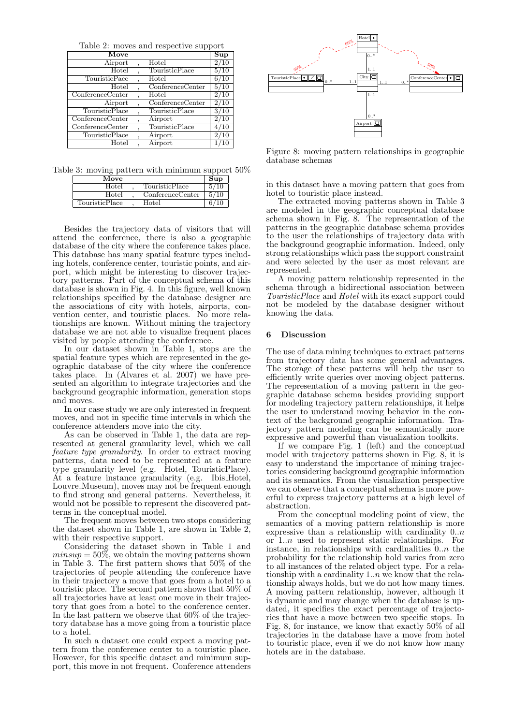Table 2: moves and respective support

| Move                                  |                  | $\overline{\mathbf{S}}$ up |
|---------------------------------------|------------------|----------------------------|
| Airport                               | Hotel            | 2/10                       |
| Hotel                                 | TouristicPlace   | 5/10                       |
| TouristicPace                         | Hotel            | 6/10                       |
| Hotel                                 | ConferenceCenter | 5/10                       |
| $\overline{\text{Conference}}$ Center | Hotel            | 2/10                       |
| Airport                               | ConferenceCenter | 2/10                       |
| TouristicPlace                        | TouristicPlace   | 3/10                       |
| ConferenceCenter                      | Airport          | 2/10                       |
| ConferenceCenter                      | TouristicPlace   | 4/10                       |
| TouristicPlace                        | Airport          | 2/10                       |
| $_{\rm Hotel}$                        | Airport          |                            |

Table 3: moving pattern with minimum support 50%

| Move           |                  | $\sup$ |
|----------------|------------------|--------|
| Hotel          | TouristicPlace   | 10     |
| Hotel          | ConferenceCenter | 5/10   |
| TouristicPlace | Hotel            |        |

Besides the trajectory data of visitors that will attend the conference, there is also a geographic database of the city where the conference takes place. This database has many spatial feature types including hotels, conference center, touristic points, and airport, which might be interesting to discover trajectory patterns. Part of the conceptual schema of this database is shown in Fig. 4. In this figure, well known relationships specified by the database designer are the associations of city with hotels, airports, convention center, and touristic places. No more relationships are known. Without mining the trajectory database we are not able to visualize frequent places visited by people attending the conference.

In our dataset shown in Table 1, stops are the spatial feature types which are represented in the geographic database of the city where the conference takes place. In  $(A\nvert x)$  and  $B$  and  $A\nvert y$  are  $B$  and  $B$  are  $A$ sented an algorithm to integrate trajectories and the background geographic information, generation stops and moves.

In our case study we are only interested in frequent moves, and not in specific time intervals in which the conference attenders move into the city.

As can be observed in Table 1, the data are represented at general granularity level, which we call feature type granularity. In order to extract moving patterns, data need to be represented at a feature type granularity level (e.g. Hotel, TouristicPlace). At a feature instance granularity (e.g. Ibis Hotel, Louvre Museum), moves may not be frequent enough to find strong and general patterns. Nevertheless, it would not be possible to represent the discovered patterns in the conceptual model.

The frequent moves between two stops considering the dataset shown in Table 1, are shown in Table 2, with their respective support.

Considering the dataset shown in Table 1 and  $min sup = 50\%$ , we obtain the moving patterns shown in Table 3. The first pattern shows that 50% of the trajectories of people attending the conference have in their trajectory a move that goes from a hotel to a touristic place. The second pattern shows that 50% of all trajectories have at least one move in their trajectory that goes from a hotel to the conference center. In the last pattern we observe that 60% of the trajectory database has a move going from a touristic place to a hotel.

In such a dataset one could expect a moving pattern from the conference center to a touristic place. However, for this specific dataset and minimum support, this move in not frequent. Conference attenders



Figure 8: moving pattern relationships in geographic database schemas

in this dataset have a moving pattern that goes from hotel to touristic place instead.

The extracted moving patterns shown in Table 3 are modeled in the geographic conceptual database schema shown in Fig. 8. The representation of the patterns in the geographic database schema provides to the user the relationships of trajectory data with the background geographic information. Indeed, only strong relationships which pass the support constraint and were selected by the user as most relevant are represented.

A moving pattern relationship represented in the schema through a bidirectional association between TouristicPlace and Hotel with its exact support could not be modeled by the database designer without knowing the data.

# 6 Discussion

The use of data mining techniques to extract patterns from trajectory data has some general advantages. The storage of these patterns will help the user to efficiently write queries over moving object patterns. The representation of a moving pattern in the geographic database schema besides providing support for modeling trajectory pattern relationships, it helps the user to understand moving behavior in the context of the background geographic information. Trajectory pattern modeling can be semantically more expressive and powerful than visualization toolkits.

If we compare Fig. 1 (left) and the conceptual model with trajectory patterns shown in Fig. 8, it is easy to understand the importance of mining trajectories considering background geographic information and its semantics. From the visualization perspective we can observe that a conceptual schema is more powerful to express trajectory patterns at a high level of abstraction.

From the conceptual modeling point of view, the semantics of a moving pattern relationship is more expressive than a relationship with cardinality  $0.n$ or 1..n used to represent static relationships. For instance, in relationships with cardinalities  $0..n$  the probability for the relationship hold varies from zero to all instances of the related object type. For a relationship with a cardinality  $1..n$  we know that the relationship always holds, but we do not how many times. A moving pattern relationship, however, although it is dynamic and may change when the database is updated, it specifies the exact percentage of trajectories that have a move between two specific stops. In Fig. 8, for instance, we know that exactly  $50\%$  of all trajectories in the database have a move from hotel to touristic place, even if we do not know how many hotels are in the database.